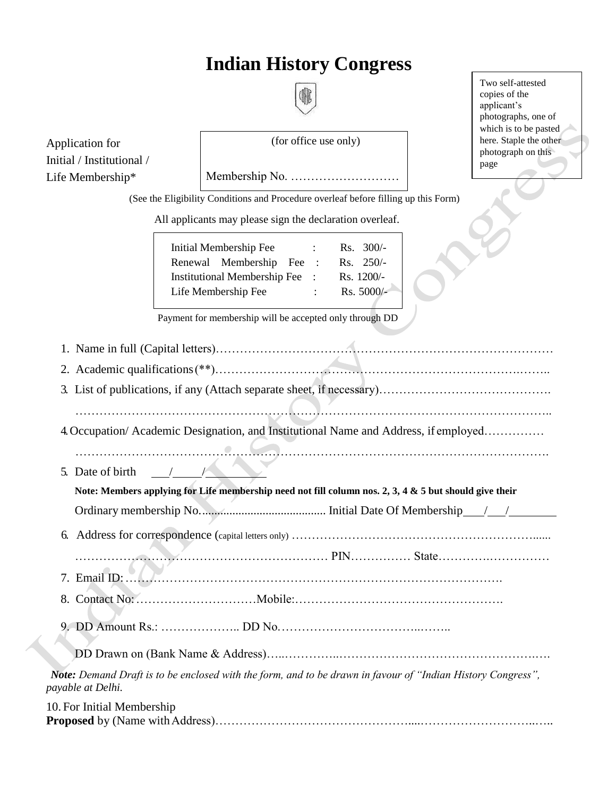# **Indian History Congress**

| f |  |
|---|--|
|   |  |
|   |  |
|   |  |
|   |  |

Application for Initial / Institutional / Life Membership\*

(for office use only)

Two self-attested copies of the applicant's photographs, one of which is to be pasted here. Staple the other photograph on this page

(See the Eligibility Conditions and Procedure overleaf before filling up this Form)

Membership No. ………………………

All applicants may please sign the declaration overleaf.

| Initial Membership Fee         |                      | $Rs. 300/-$ |
|--------------------------------|----------------------|-------------|
| Renewal Membership Fee         | $\ddot{\phantom{0}}$ | $Rs. 250/-$ |
| Institutional Membership Fee : |                      | Rs. 1200/-  |
| Life Membership Fee            |                      | Rs. 5000/-  |
|                                |                      |             |

Payment for membership will be accepted only through DD

| 4. Occupation/ Academic Designation, and Institutional Name and Address, if employed                                             |
|----------------------------------------------------------------------------------------------------------------------------------|
|                                                                                                                                  |
| $\frac{1}{2}$<br>5. Date of birth                                                                                                |
| Note: Members applying for Life membership need not fill column nos. 2, 3, 4 & 5 but should give their                           |
|                                                                                                                                  |
| 6.                                                                                                                               |
|                                                                                                                                  |
|                                                                                                                                  |
|                                                                                                                                  |
|                                                                                                                                  |
|                                                                                                                                  |
|                                                                                                                                  |
| Note: Demand Draft is to be enclosed with the form, and to be drawn in favour of "Indian History Congress",<br>payable at Delhi. |
| 10. For Initial Membership                                                                                                       |